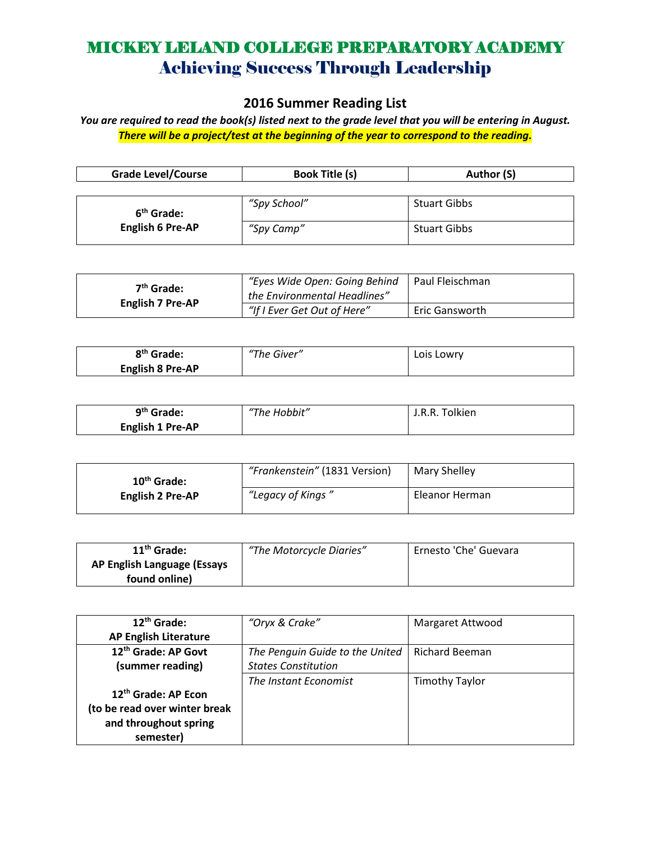## MICKEY LELAND COLLEGE PREPARATORY ACADEMY Achieving Success Through Leadership

#### **2016 Summer Reading List**

#### *You are required to read the book(s) listed next to the grade level that you will be entering in August. There will be a project/test at the beginning of the year to correspond to the reading.*

| <b>Grade Level/Course</b> | <b>Book Title (s)</b> | Author (S)          |
|---------------------------|-----------------------|---------------------|
|                           |                       |                     |
| 6 <sup>th</sup> Grade:    | "Spy School"          | <b>Stuart Gibbs</b> |
| <b>English 6 Pre-AP</b>   | "Spy Camp"            | <b>Stuart Gibbs</b> |

| $7th$ Grade:            | "Eyes Wide Open: Going Behind<br>the Environmental Headlines" | l Paul Fleischman     |
|-------------------------|---------------------------------------------------------------|-----------------------|
| <b>English 7 Pre-AP</b> | "If I Ever Get Out of Here"                                   | <b>Eric Gansworth</b> |

| 8 <sup>th</sup> Grade:  | "The Giver" | Lois Lowry |
|-------------------------|-------------|------------|
| <b>English 8 Pre-AP</b> |             |            |

| 9 <sup>th</sup> Grade:  | "The Hobbit" | J.R.R. Tolkien |
|-------------------------|--------------|----------------|
| <b>English 1 Pre-AP</b> |              |                |

| 10 <sup>th</sup> Grade:<br><b>English 2 Pre-AP</b> | "Frankenstein" (1831 Version) | Mary Shelley   |
|----------------------------------------------------|-------------------------------|----------------|
|                                                    | "Legacy of Kings"             | Eleanor Herman |

| 11 <sup>th</sup> Grade:     | "The Motorcycle Diaries" | Ernesto 'Che' Guevara |
|-----------------------------|--------------------------|-----------------------|
| AP English Language (Essays |                          |                       |
| found online)               |                          |                       |

| $12th$ Grade:                   | "Oryx & Crake"                  | Margaret Attwood      |
|---------------------------------|---------------------------------|-----------------------|
| <b>AP English Literature</b>    |                                 |                       |
| 12 <sup>th</sup> Grade: AP Govt | The Penguin Guide to the United | <b>Richard Beeman</b> |
| (summer reading)                | <b>States Constitution</b>      |                       |
|                                 | The Instant Economist           | <b>Timothy Taylor</b> |
| 12 <sup>th</sup> Grade: AP Econ |                                 |                       |
| (to be read over winter break   |                                 |                       |
| and throughout spring           |                                 |                       |
| semester)                       |                                 |                       |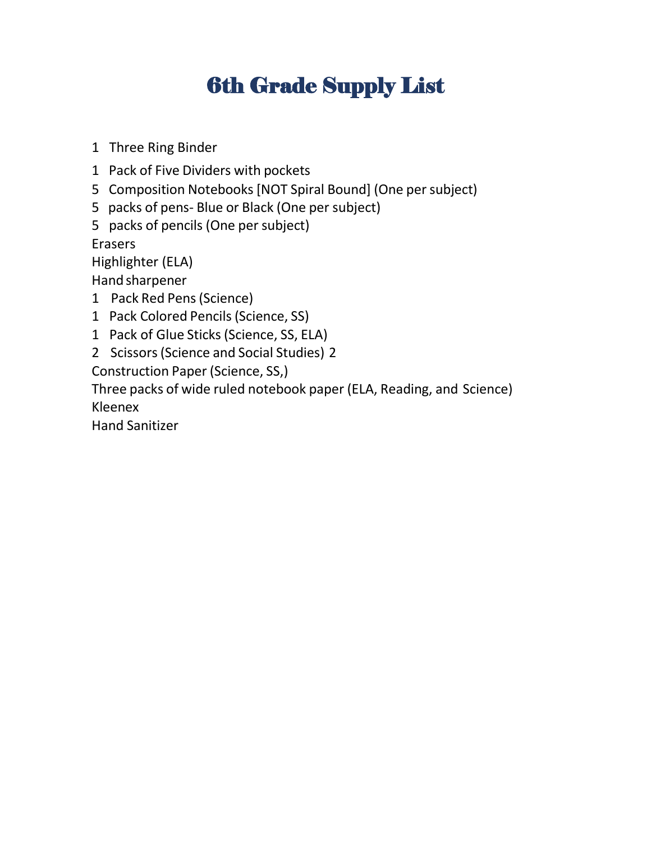# 6th Grade Supply List

- 1 Three Ring Binder
- 1 Pack of Five Dividers with pockets
- 5 Composition Notebooks[NOT Spiral Bound] (One persubject)
- 5 packs of pens- Blue or Black (One per subject)
- 5 packs of pencils (One per subject)

Erasers

Highlighter (ELA)

Hand sharpener

- 1 Pack Red Pens(Science)
- 1 Pack Colored Pencils(Science, SS)
- 1 Pack of Glue Sticks(Science, SS, ELA)
- 2 Scissors(Science and Social Studies) 2

Construction Paper (Science, SS,)

Three packs of wide ruled notebook paper (ELA, Reading, and Science)

Kleenex

Hand Sanitizer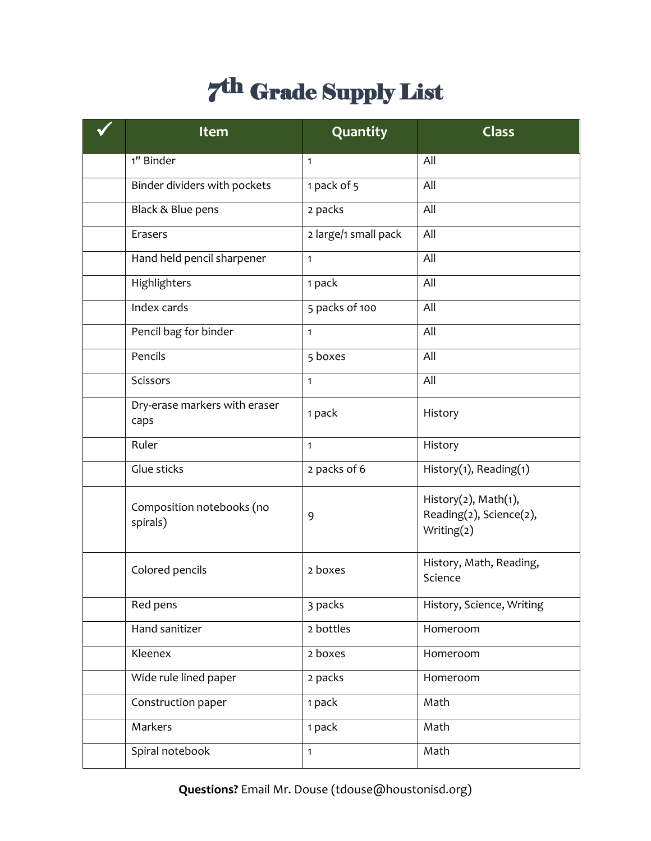# 7th Grade Supply List

| Item                                  | Quantity             | <b>Class</b>                                                  |
|---------------------------------------|----------------------|---------------------------------------------------------------|
| 1" Binder                             | $\mathbf{1}$         | All                                                           |
| Binder dividers with pockets          | 1 pack of 5          | All                                                           |
| Black & Blue pens                     | 2 packs              | All                                                           |
| Erasers                               | 2 large/1 small pack | All                                                           |
| Hand held pencil sharpener            | $\mathbf{1}$         | All                                                           |
| Highlighters                          | 1 pack               | All                                                           |
| Index cards                           | 5 packs of 100       | All                                                           |
| Pencil bag for binder                 | $\mathbf{1}$         | All                                                           |
| Pencils                               | 5 boxes              | All                                                           |
| Scissors                              | $\mathbf{1}$         | All                                                           |
| Dry-erase markers with eraser<br>caps | 1 pack               | History                                                       |
| Ruler                                 | $\mathbf{1}$         | History                                                       |
| Glue sticks                           | 2 packs of 6         | History(1), Reading(1)                                        |
| Composition notebooks (no<br>spirals) | 9                    | History(2), Math(1),<br>Reading(2), Science(2),<br>Writing(2) |
| Colored pencils                       | 2 boxes              | History, Math, Reading,<br>Science                            |
| Red pens                              | 3 packs              | History, Science, Writing                                     |
| Hand sanitizer                        | 2 bottles            | Homeroom                                                      |
| Kleenex                               | 2 boxes              | Homeroom                                                      |
| Wide rule lined paper                 | 2 packs              | Homeroom                                                      |
| Construction paper                    | 1 pack               | Math                                                          |
| Markers                               | 1 pack               | Math                                                          |
| Spiral notebook                       | $\mathbf{1}$         | Math                                                          |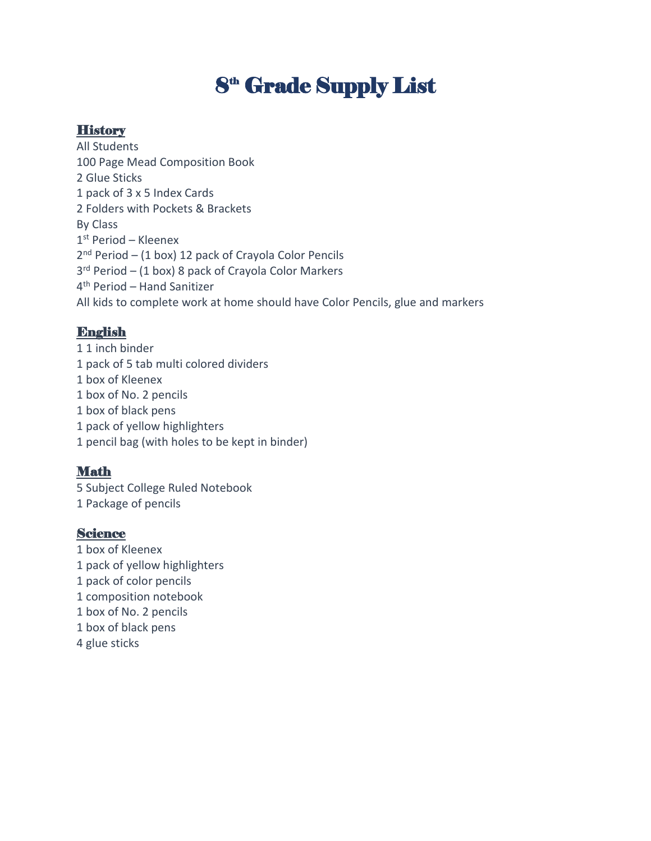# **8<sup>th</sup> Grade Supply List**

#### **History**

All Students 100 Page Mead Composition Book 2 Glue Sticks 1 pack of 3 x 5 Index Cards 2 Folders with Pockets & Brackets By Class 1 st Period – Kleenex 2<sup>nd</sup> Period – (1 box) 12 pack of Crayola Color Pencils 3<sup>rd</sup> Period – (1 box) 8 pack of Crayola Color Markers 4 th Period – Hand Sanitizer All kids to complete work at home should have Color Pencils, glue and markers

#### English

1 1 inch binder 1 pack of 5 tab multi colored dividers 1 box of Kleenex 1 box of No. 2 pencils 1 box of black pens 1 pack of yellow highlighters 1 pencil bag (with holes to be kept in binder)

#### Math

5 Subject College Ruled Notebook 1 Package of pencils

#### **Science**

1 box of Kleenex 1 pack of yellow highlighters 1 pack of color pencils 1 composition notebook 1 box of No. 2 pencils 1 box of black pens 4 glue sticks